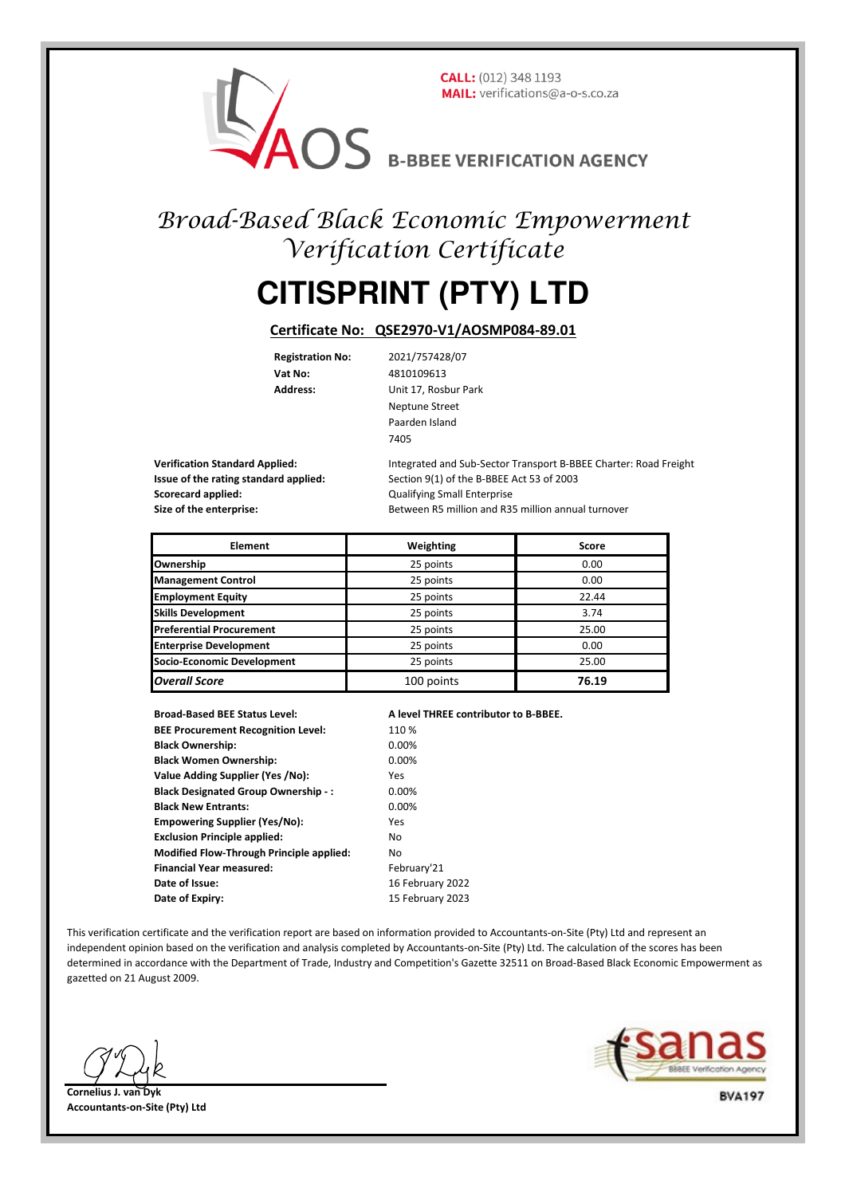**CALL:** (012) 348 1193

MAIL: VERIFICATION AGENCY

## Broad-Based Black Economic Empowerment Verification Certificate

## **CITISPRINT (PTY) LTD**

## **Certificate No: QSE2970-V1/AOSMP084-89.01**

**Registration No:** 2021/757428/07 **Vat No:** 4810109613

**Address:** Unit 17, Rosbur Park Neptune Street Paarden Island 7405

**Scorecard applied:** Consequently applied: Consequently applied: Qualifying Small Enterprise

**Verification Standard Applied:** Integrated and Sub-Sector Transport B-BBEE Charter: Road Freight **Issue of the rating standard applied:** Section 9(1) of the B-BBEE Act 53 of 2003 **Size of the enterprise:** Between R5 million and R35 million annual turnover

| <b>Element</b>                  | Weighting  | Score |
|---------------------------------|------------|-------|
| Ownership                       | 25 points  | 0.00  |
| <b>Management Control</b>       | 25 points  | 0.00  |
| <b>Employment Equity</b>        | 25 points  | 22.44 |
| <b>Skills Development</b>       | 25 points  | 3.74  |
| <b>Preferential Procurement</b> | 25 points  | 25.00 |
| <b>Enterprise Development</b>   | 25 points  | 0.00  |
| Socio-Economic Development      | 25 points  | 25.00 |
| <b>Overall Score</b>            | 100 points | 76.19 |

**Broad-Based BEE Status Level: A level THREE contributor to B-BBEE. BEE Procurement Recognition Level:** 110 % **Black Ownership:** 0.00% **Black Women Ownership:** 0.00% **Value Adding Supplier (Yes /No):** Yes **Black Designated Group Ownership - :** 0.00% **Black New Entrants:** 0.00% **Empowering Supplier (Yes/No):** Yes **Exclusion Principle applied:** No **Modified Flow-Through Principle applied:** No **Financial Year measured:** February'21 **Date of Issue:** 16 February 2022 **Date of Expiry:** 15 February 2023

This verification certificate and the verification report are based on information provided to Accountants-on-Site (Pty) Ltd and represent an independent opinion based on the verification and analysis completed by Accountants-on-Site (Pty) Ltd. The calculation of the scores has been determined in accordance with the Department of Trade, Industry and Competition's Gazette 32511 on Broad-Based Black Economic Empowerment as gazetted on 21 August 2009.



**Cornelius J. van Dyk Accountants-on-Site (Pty) Ltd**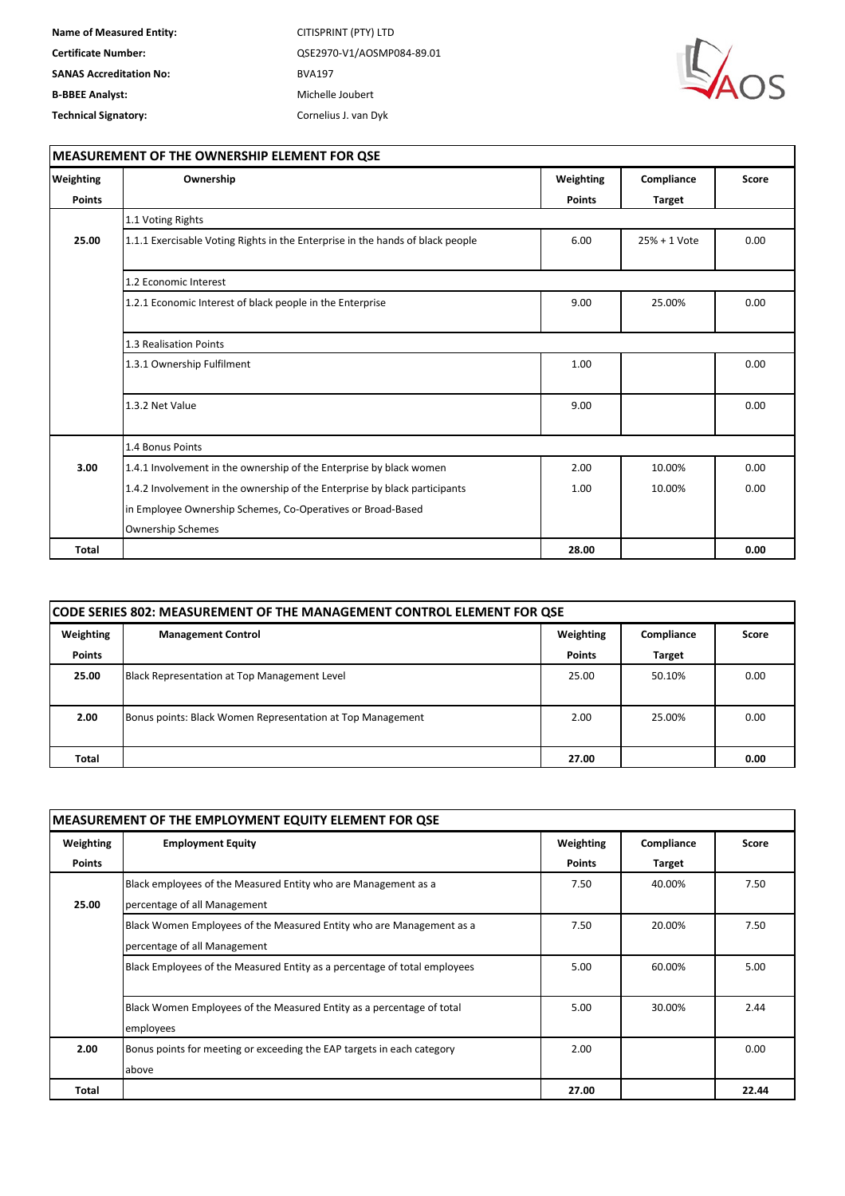

| Weighting     | Ownership                                                                      | Weighting     | Compliance    | Score |  |
|---------------|--------------------------------------------------------------------------------|---------------|---------------|-------|--|
| <b>Points</b> |                                                                                | <b>Points</b> | <b>Target</b> |       |  |
|               | 1.1 Voting Rights                                                              |               |               |       |  |
| 25.00         | 1.1.1 Exercisable Voting Rights in the Enterprise in the hands of black people | 6.00          | 25% + 1 Vote  | 0.00  |  |
|               | 1.2 Economic Interest                                                          |               |               |       |  |
|               | 1.2.1 Economic Interest of black people in the Enterprise                      | 9.00          | 25.00%        | 0.00  |  |
|               | 1.3 Realisation Points                                                         |               |               |       |  |
|               | 1.3.1 Ownership Fulfilment                                                     | 1.00          |               | 0.00  |  |
|               | 1.3.2 Net Value                                                                | 9.00          |               | 0.00  |  |
|               | 1.4 Bonus Points                                                               |               |               |       |  |
| 3.00          | 1.4.1 Involvement in the ownership of the Enterprise by black women            | 2.00          | 10.00%        | 0.00  |  |
|               | 1.4.2 Involvement in the ownership of the Enterprise by black participants     | 1.00          | 10.00%        | 0.00  |  |
|               | in Employee Ownership Schemes, Co-Operatives or Broad-Based                    |               |               |       |  |
|               | <b>Ownership Schemes</b>                                                       |               |               |       |  |
| <b>Total</b>  |                                                                                | 28.00         |               | 0.00  |  |

| CODE SERIES 802: MEASUREMENT OF THE MANAGEMENT CONTROL ELEMENT FOR QSE |                                                               |               |               |      |  |
|------------------------------------------------------------------------|---------------------------------------------------------------|---------------|---------------|------|--|
| Weighting                                                              | Weighting<br><b>Management Control</b><br>Compliance<br>Score |               |               |      |  |
| <b>Points</b>                                                          |                                                               | <b>Points</b> | <b>Target</b> |      |  |
| 25.00                                                                  | Black Representation at Top Management Level                  | 25.00         | 50.10%        | 0.00 |  |
| 2.00                                                                   | Bonus points: Black Women Representation at Top Management    | 2.00          | 25.00%        | 0.00 |  |
| <b>Total</b>                                                           |                                                               | 27.00         |               | 0.00 |  |

| <b>MEASUREMENT OF THE EMPLOYMENT EQUITY ELEMENT FOR QSE</b> |                                                                           |               |            |       |
|-------------------------------------------------------------|---------------------------------------------------------------------------|---------------|------------|-------|
| Weighting                                                   | <b>Employment Equity</b>                                                  | Weighting     | Compliance | Score |
| <b>Points</b>                                               |                                                                           | <b>Points</b> | Target     |       |
|                                                             | Black employees of the Measured Entity who are Management as a            | 7.50          | 40.00%     | 7.50  |
| 25.00                                                       | percentage of all Management                                              |               |            |       |
|                                                             | Black Women Employees of the Measured Entity who are Management as a      | 7.50          | 20.00%     | 7.50  |
|                                                             | percentage of all Management                                              |               |            |       |
|                                                             | Black Employees of the Measured Entity as a percentage of total employees | 5.00          | 60.00%     | 5.00  |
|                                                             |                                                                           |               |            |       |
|                                                             | Black Women Employees of the Measured Entity as a percentage of total     | 5.00          | 30.00%     | 2.44  |
|                                                             | employees                                                                 |               |            |       |
| 2.00                                                        | Bonus points for meeting or exceeding the EAP targets in each category    | 2.00          |            | 0.00  |
|                                                             | above                                                                     |               |            |       |
| Total                                                       |                                                                           | 27.00         |            | 22.44 |